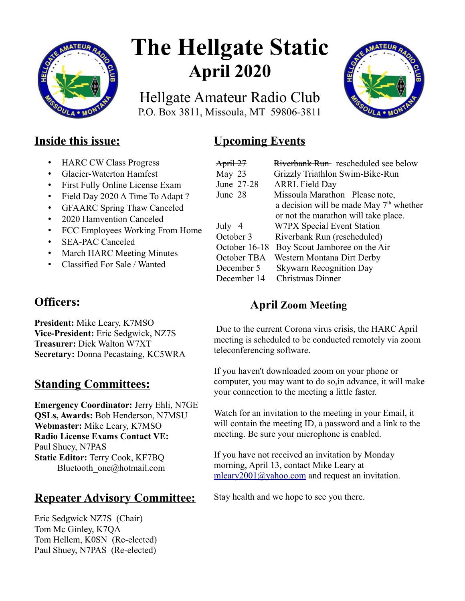

# **The Hellgate Static April 2020**

Hellgate Amateur Radio Club P.O. Box 3811, Missoula, MT 59806-3811



# **Inside this issue:**

- HARC CW Class Progress
- Glacier-Waterton Hamfest
- First Fully Online License Exam
- Field Day 2020 A Time To Adapt ?
- GFAARC Spring Thaw Canceled
- 2020 Hamvention Canceled
- FCC Employees Working From Home
- SEA-PAC Canceled
- March HARC Meeting Minutes
- Classified For Sale / Wanted

# **Officers:**

**President:** Mike Leary, K7MSO **Vice-President:** Eric Sedgwick, NZ7S **Treasurer:** Dick Walton W7XT **Secretary:** Donna Pecastaing, KC5WRA

# **Standing Committees:**

**Emergency Coordinator:** Jerry Ehli, N7GE **QSLs, Awards:** Bob Henderson, N7MSU **Webmaster:** Mike Leary, K7MSO **Radio License Exams Contact VE:** Paul Shuey, N7PAS **Static Editor:** Terry Cook, KF7BQ Bluetooth\_one@hotmail.com

# **Repeater Advisory Committee:**

Eric Sedgwick NZ7S (Chair) Tom Mc Ginley, K7QA Tom Hellem, K0SN (Re-elected) Paul Shuey, N7PAS (Re-elected)

# **Upcoming Events**

| April 27      | Riverbank Run rescheduled see below       |
|---------------|-------------------------------------------|
| May 23        | Grizzly Triathlon Swim-Bike-Run           |
| June 27-28    | <b>ARRL Field Day</b>                     |
| June 28       | Missoula Marathon Please note,            |
|               | a decision will be made May $7th$ whether |
|               | or not the marathon will take place.      |
| July 4        | W7PX Special Event Station                |
| October 3     | Riverbank Run (rescheduled)               |
| October 16-18 | Boy Scout Jamboree on the Air             |
| October TBA   | Western Montana Dirt Derby                |
| December 5    | <b>Skywarn Recognition Day</b>            |
| December 14   | <b>Christmas Dinner</b>                   |

# **April Zoom Meeting**

 Due to the current Corona virus crisis, the HARC April meeting is scheduled to be conducted remotely via zoom teleconferencing software.

If you haven't downloaded zoom on your phone or computer, you may want to do so,in advance, it will make your connection to the meeting a little faster.

Watch for an invitation to the meeting in your Email, it will contain the meeting ID, a password and a link to the meeting. Be sure your microphone is enabled.

If you have not received an invitation by Monday morning, April 13, contact Mike Leary at [mleary2001@yahoo.com](mailto:mleary2001@yahoo.com) and request an invitation.

Stay health and we hope to see you there.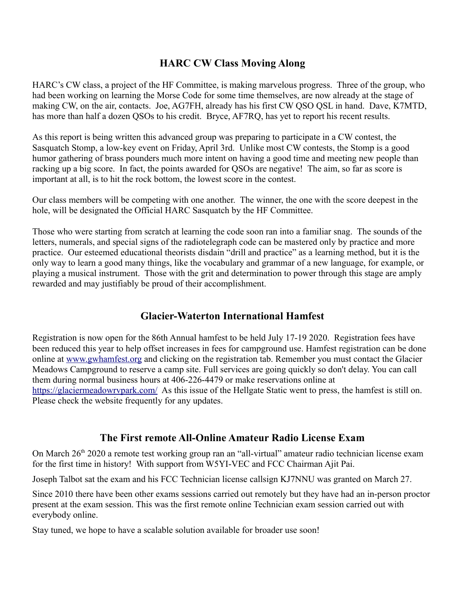## **HARC CW Class Moving Along**

HARC's CW class, a project of the HF Committee, is making marvelous progress. Three of the group, who had been working on learning the Morse Code for some time themselves, are now already at the stage of making CW, on the air, contacts. Joe, AG7FH, already has his first CW QSO QSL in hand. Dave, K7MTD, has more than half a dozen QSOs to his credit. Bryce, AF7RQ, has yet to report his recent results.

As this report is being written this advanced group was preparing to participate in a CW contest, the Sasquatch Stomp, a low-key event on Friday, April 3rd. Unlike most CW contests, the Stomp is a good humor gathering of brass pounders much more intent on having a good time and meeting new people than racking up a big score. In fact, the points awarded for QSOs are negative! The aim, so far as score is important at all, is to hit the rock bottom, the lowest score in the contest.

Our class members will be competing with one another. The winner, the one with the score deepest in the hole, will be designated the Official HARC Sasquatch by the HF Committee.

Those who were starting from scratch at learning the code soon ran into a familiar snag. The sounds of the letters, numerals, and special signs of the radiotelegraph code can be mastered only by practice and more practice. Our esteemed educational theorists disdain "drill and practice" as a learning method, but it is the only way to learn a good many things, like the vocabulary and grammar of a new language, for example, or playing a musical instrument. Those with the grit and determination to power through this stage are amply rewarded and may justifiably be proud of their accomplishment.

# **Glacier-Waterton International Hamfest**

Registration is now open for the 86th Annual hamfest to be held July 17-19 2020. Registration fees have been reduced this year to help offset increases in fees for campground use. Hamfest registration can be done online at [www.gwhamfest.org](http://www.gwhamfest.org/) and clicking on the registration tab. Remember you must contact the Glacier Meadows Campground to reserve a camp site. Full services are going quickly so don't delay. You can call them during normal business hours at 406-226-4479 or make reservations online at <https://glaciermeadowrvpark.com/>As this issue of the Hellgate Static went to press, the hamfest is still on. Please check the website frequently for any updates.

## **The First remote All-Online Amateur Radio License Exam**

On March 26<sup>th</sup> 2020 a remote test working group ran an "all-virtual" amateur radio technician license exam for the first time in history! With support from W5YI-VEC and FCC Chairman Ajit Pai.

Joseph Talbot sat the exam and his FCC Technician license callsign KJ7NNU was granted on March 27.

Since 2010 there have been other exams sessions carried out remotely but they have had an in-person proctor present at the exam session. This was the first remote online Technician exam session carried out with everybody online.

Stay tuned, we hope to have a scalable solution available for broader use soon!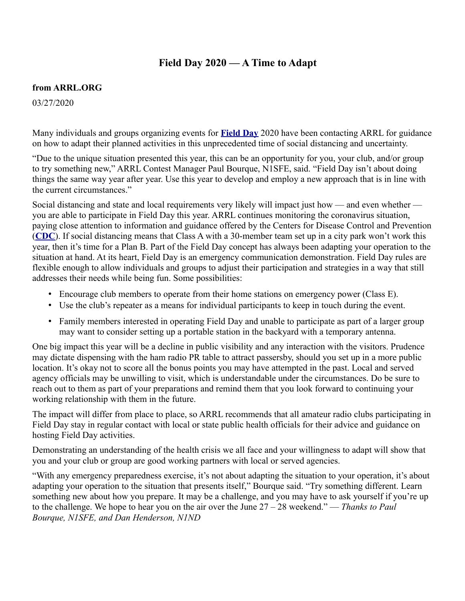## **Field Day 2020 — A Time to Adapt**

#### **from ARRL.ORG**

03/27/2020

Many individuals and groups organizing events for **[Field Day](http://www.arrl.org/field-day)** 2020 have been contacting ARRL for guidance on how to adapt their planned activities in this unprecedented time of social distancing and uncertainty.

"Due to the unique situation presented this year, this can be an opportunity for you, your club, and/or group to try something new," ARRL Contest Manager Paul Bourque, N1SFE, said. "Field Day isn't about doing things the same way year after year. Use this year to develop and employ a new approach that is in line with the current circumstances."

Social distancing and state and local requirements very likely will impact just how — and even whether you are able to participate in Field Day this year. ARRL continues monitoring the coronavirus situation, paying close attention to information and guidance offered by the Centers for Disease Control and Prevention (**[CDC](https://www.cdc.gov/coronavirus/2019-ncov/index.html)**). If social distancing means that Class A with a 30-member team set up in a city park won't work this year, then it's time for a Plan B. Part of the Field Day concept has always been adapting your operation to the situation at hand. At its heart, Field Day is an emergency communication demonstration. Field Day rules are flexible enough to allow individuals and groups to adjust their participation and strategies in a way that still addresses their needs while being fun. Some possibilities:

- Encourage club members to operate from their home stations on emergency power (Class E).
- Use the club's repeater as a means for individual participants to keep in touch during the event.
- Family members interested in operating Field Day and unable to participate as part of a larger group may want to consider setting up a portable station in the backyard with a temporary antenna.

One big impact this year will be a decline in public visibility and any interaction with the visitors. Prudence may dictate dispensing with the ham radio PR table to attract passersby, should you set up in a more public location. It's okay not to score all the bonus points you may have attempted in the past. Local and served agency officials may be unwilling to visit, which is understandable under the circumstances. Do be sure to reach out to them as part of your preparations and remind them that you look forward to continuing your working relationship with them in the future.

The impact will differ from place to place, so ARRL recommends that all amateur radio clubs participating in Field Day stay in regular contact with local or state public health officials for their advice and guidance on hosting Field Day activities.

Demonstrating an understanding of the health crisis we all face and your willingness to adapt will show that you and your club or group are good working partners with local or served agencies.

"With any emergency preparedness exercise, it's not about adapting the situation to your operation, it's about adapting your operation to the situation that presents itself," Bourque said. "Try something different. Learn something new about how you prepare. It may be a challenge, and you may have to ask yourself if you're up to the challenge. We hope to hear you on the air over the June 27 – 28 weekend." — *Thanks to Paul Bourque, N1SFE, and Dan Henderson, N1ND*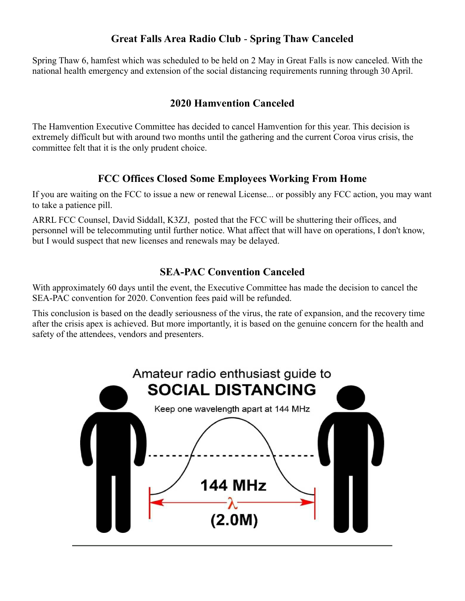# **Great Falls Area Radio Club** - **Spring Thaw Canceled**

Spring Thaw 6, hamfest which was scheduled to be held on 2 May in Great Falls is now canceled. With the national health emergency and extension of the social distancing requirements running through 30 April.

# **2020 Hamvention Canceled**

The Hamvention Executive Committee has decided to cancel Hamvention for this year. This decision is extremely difficult but with around two months until the gathering and the current Coroa virus crisis, the committee felt that it is the only prudent choice.

## **FCC Offices Closed Some Employees Working From Home**

If you are waiting on the FCC to issue a new or renewal License... or possibly any FCC action, you may want to take a patience pill.

ARRL FCC Counsel, David Siddall, K3ZJ, posted that the FCC will be shuttering their offices, and personnel will be telecommuting until further notice. What affect that will have on operations, I don't know, but I would suspect that new licenses and renewals may be delayed.

## **SEA-PAC Convention Canceled**

With approximately 60 days until the event, the Executive Committee has made the decision to cancel the SEA-PAC convention for 2020. Convention fees paid will be refunded.

This conclusion is based on the deadly seriousness of the virus, the rate of expansion, and the recovery time after the crisis apex is achieved. But more importantly, it is based on the genuine concern for the health and safety of the attendees, vendors and presenters.

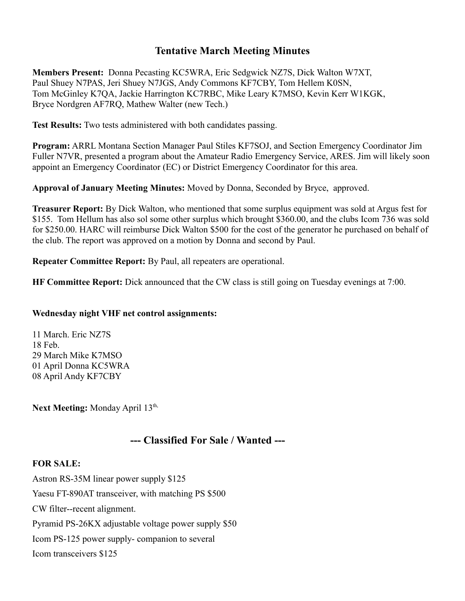## **Tentative March Meeting Minutes**

**Members Present:** Donna Pecasting KC5WRA, Eric Sedgwick NZ7S, Dick Walton W7XT, Paul Shuey N7PAS, Jeri Shuey N7JGS, Andy Commons KF7CBY, Tom Hellem K0SN, Tom McGinley K7QA, Jackie Harrington KC7RBC, Mike Leary K7MSO, Kevin Kerr W1KGK, Bryce Nordgren AF7RQ, Mathew Walter (new Tech.)

**Test Results:** Two tests administered with both candidates passing.

**Program:** ARRL Montana Section Manager Paul Stiles KF7SOJ, and Section Emergency Coordinator Jim Fuller N7VR, presented a program about the Amateur Radio Emergency Service, ARES. Jim will likely soon appoint an Emergency Coordinator (EC) or District Emergency Coordinator for this area.

**Approval of January Meeting Minutes:** Moved by Donna, Seconded by Bryce, approved.

**Treasurer Report:** By Dick Walton, who mentioned that some surplus equipment was sold at Argus fest for \$155. Tom Hellum has also sol some other surplus which brought \$360.00, and the clubs Icom 736 was sold for \$250.00. HARC will reimburse Dick Walton \$500 for the cost of the generator he purchased on behalf of the club. The report was approved on a motion by Donna and second by Paul.

**Repeater Committee Report:** By Paul, all repeaters are operational.

**HF Committee Report:** Dick announced that the CW class is still going on Tuesday evenings at 7:00.

#### **Wednesday night VHF net control assignments:**

11 March. Eric NZ7S 18 Feb. 29 March Mike K7MSO 01 April Donna KC5WRA 08 April Andy KF7CBY

Next Meeting: Monday April 13<sup>th,</sup>

# **--- Classified For Sale / Wanted ---**

#### **FOR SALE:**

Astron RS-35M linear power supply \$125 Yaesu FT-890AT transceiver, with matching PS \$500 CW filter--recent alignment. Pyramid PS-26KX adjustable voltage power supply \$50 Icom PS-125 power supply- companion to several Icom transceivers \$125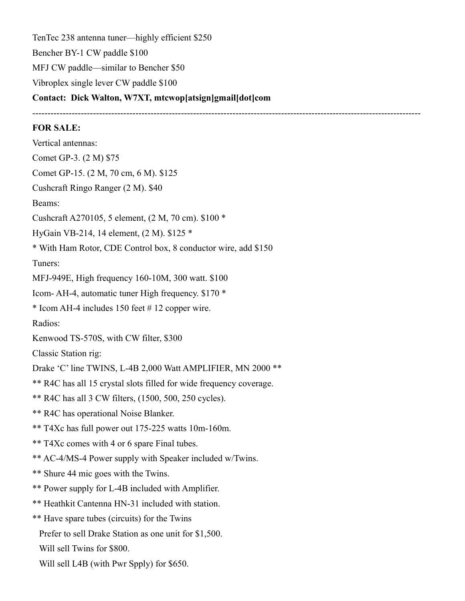TenTec 238 antenna tuner—highly efficient \$250 Bencher BY-1 CW paddle \$100 MFJ CW paddle—similar to Bencher \$50 Vibroplex single lever CW paddle \$100 **Contact: Dick Walton, W7XT, mtcwop[atsign]gmail[dot]com** 

--------------------------------------------------------------------------------------------------------------------------------

#### **FOR SALE:**

Vertical antennas: Comet GP-3. (2 M) \$75 Comet GP-15. (2 M, 70 cm, 6 M). \$125 Cushcraft Ringo Ranger (2 M). \$40 Beams: Cushcraft A270105, 5 element, (2 M, 70 cm). \$100 \* HyGain VB-214, 14 element, (2 M). \$125 \* \* With Ham Rotor, CDE Control box, 8 conductor wire, add \$150 Tuners: MFJ-949E, High frequency 160-10M, 300 watt. \$100 Icom- AH-4, automatic tuner High frequency. \$170 \* \* Icom AH-4 includes 150 feet # 12 copper wire. Radios: Kenwood TS-570S, with CW filter, \$300 Classic Station rig: Drake 'C' line TWINS, L-4B 2,000 Watt AMPLIFIER, MN 2000 \*\* \*\* R4C has all 15 crystal slots filled for wide frequency coverage. \*\* R4C has all 3 CW filters, (1500, 500, 250 cycles). \*\* R4C has operational Noise Blanker. \*\* T4Xc has full power out 175-225 watts 10m-160m. \*\* T4Xc comes with 4 or 6 spare Final tubes. \*\* AC-4/MS-4 Power supply with Speaker included w/Twins. \*\* Shure 44 mic goes with the Twins. \*\* Power supply for L-4B included with Amplifier. \*\* Heathkit Cantenna HN-31 included with station. \*\* Have spare tubes (circuits) for the Twins Prefer to sell Drake Station as one unit for \$1,500. Will sell Twins for \$800. Will sell L4B (with Pwr Spply) for \$650.